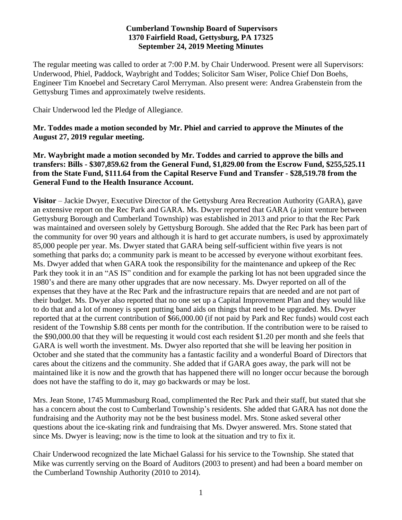#### **Cumberland Township Board of Supervisors 1370 Fairfield Road, Gettysburg, PA 17325 September 24, 2019 Meeting Minutes**

The regular meeting was called to order at 7:00 P.M. by Chair Underwood. Present were all Supervisors: Underwood, Phiel, Paddock, Waybright and Toddes; Solicitor Sam Wiser, Police Chief Don Boehs, Engineer Tim Knoebel and Secretary Carol Merryman. Also present were: Andrea Grabenstein from the Gettysburg Times and approximately twelve residents.

Chair Underwood led the Pledge of Allegiance.

# **Mr. Toddes made a motion seconded by Mr. Phiel and carried to approve the Minutes of the August 27, 2019 regular meeting.**

**Mr. Waybright made a motion seconded by Mr. Toddes and carried to approve the bills and transfers: Bills - \$307,859.62 from the General Fund, \$1,829.00 from the Escrow Fund, \$255,525.11 from the State Fund, \$111.64 from the Capital Reserve Fund and Transfer - \$28,519.78 from the General Fund to the Health Insurance Account.**

**Visitor** – Jackie Dwyer, Executive Director of the Gettysburg Area Recreation Authority (GARA), gave an extensive report on the Rec Park and GARA. Ms. Dwyer reported that GARA (a joint venture between Gettysburg Borough and Cumberland Township) was established in 2013 and prior to that the Rec Park was maintained and overseen solely by Gettysburg Borough. She added that the Rec Park has been part of the community for over 90 years and although it is hard to get accurate numbers, is used by approximately 85,000 people per year. Ms. Dwyer stated that GARA being self-sufficient within five years is not something that parks do; a community park is meant to be accessed by everyone without exorbitant fees. Ms. Dwyer added that when GARA took the responsibility for the maintenance and upkeep of the Rec Park they took it in an "AS IS" condition and for example the parking lot has not been upgraded since the 1980's and there are many other upgrades that are now necessary. Ms. Dwyer reported on all of the expenses that they have at the Rec Park and the infrastructure repairs that are needed and are not part of their budget. Ms. Dwyer also reported that no one set up a Capital Improvement Plan and they would like to do that and a lot of money is spent putting band aids on things that need to be upgraded. Ms. Dwyer reported that at the current contribution of \$66,000.00 (if not paid by Park and Rec funds) would cost each resident of the Township \$.88 cents per month for the contribution. If the contribution were to be raised to the \$90,000.00 that they will be requesting it would cost each resident \$1.20 per month and she feels that GARA is well worth the investment. Ms. Dwyer also reported that she will be leaving her position in October and she stated that the community has a fantastic facility and a wonderful Board of Directors that cares about the citizens and the community. She added that if GARA goes away, the park will not be maintained like it is now and the growth that has happened there will no longer occur because the borough does not have the staffing to do it, may go backwards or may be lost.

Mrs. Jean Stone, 1745 Mummasburg Road, complimented the Rec Park and their staff, but stated that she has a concern about the cost to Cumberland Township's residents. She added that GARA has not done the fundraising and the Authority may not be the best business model. Mrs. Stone asked several other questions about the ice-skating rink and fundraising that Ms. Dwyer answered. Mrs. Stone stated that since Ms. Dwyer is leaving; now is the time to look at the situation and try to fix it.

Chair Underwood recognized the late Michael Galassi for his service to the Township. She stated that Mike was currently serving on the Board of Auditors (2003 to present) and had been a board member on the Cumberland Township Authority (2010 to 2014).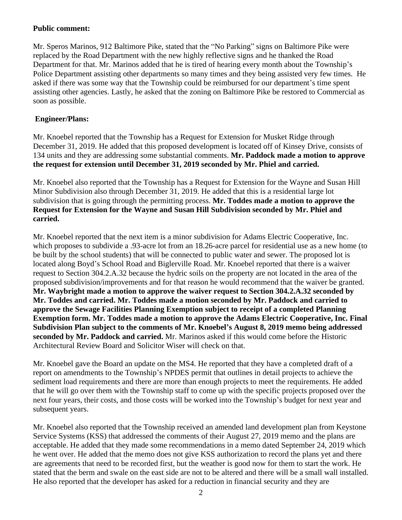## **Public comment:**

Mr. Speros Marinos, 912 Baltimore Pike, stated that the "No Parking" signs on Baltimore Pike were replaced by the Road Department with the new highly reflective signs and he thanked the Road Department for that. Mr. Marinos added that he is tired of hearing every month about the Township's Police Department assisting other departments so many times and they being assisted very few times. He asked if there was some way that the Township could be reimbursed for our department's time spent assisting other agencies. Lastly, he asked that the zoning on Baltimore Pike be restored to Commercial as soon as possible.

### **Engineer/Plans:**

Mr. Knoebel reported that the Township has a Request for Extension for Musket Ridge through December 31, 2019. He added that this proposed development is located off of Kinsey Drive, consists of 134 units and they are addressing some substantial comments. **Mr. Paddock made a motion to approve the request for extension until December 31, 2019 seconded by Mr. Phiel and carried.** 

Mr. Knoebel also reported that the Township has a Request for Extension for the Wayne and Susan Hill Minor Subdivision also through December 31, 2019. He added that this is a residential large lot subdivision that is going through the permitting process. **Mr. Toddes made a motion to approve the Request for Extension for the Wayne and Susan Hill Subdivision seconded by Mr. Phiel and carried.** 

Mr. Knoebel reported that the next item is a minor subdivision for Adams Electric Cooperative, Inc. which proposes to subdivide a .93-acre lot from an 18.26-acre parcel for residential use as a new home (to be built by the school students) that will be connected to public water and sewer. The proposed lot is located along Boyd's School Road and Biglerville Road. Mr. Knoebel reported that there is a waiver request to Section 304.2.A.32 because the hydric soils on the property are not located in the area of the proposed subdivision/improvements and for that reason he would recommend that the waiver be granted. **Mr. Waybright made a motion to approve the waiver request to Section 304.2.A.32 seconded by Mr. Toddes and carried. Mr. Toddes made a motion seconded by Mr. Paddock and carried to approve the Sewage Facilities Planning Exemption subject to receipt of a completed Planning Exemption form. Mr. Toddes made a motion to approve the Adams Electric Cooperative, Inc. Final Subdivision Plan subject to the comments of Mr. Knoebel's August 8, 2019 memo being addressed seconded by Mr. Paddock and carried.** Mr. Marinos asked if this would come before the Historic Architectural Review Board and Solicitor Wiser will check on that.

Mr. Knoebel gave the Board an update on the MS4. He reported that they have a completed draft of a report on amendments to the Township's NPDES permit that outlines in detail projects to achieve the sediment load requirements and there are more than enough projects to meet the requirements. He added that he will go over them with the Township staff to come up with the specific projects proposed over the next four years, their costs, and those costs will be worked into the Township's budget for next year and subsequent years.

Mr. Knoebel also reported that the Township received an amended land development plan from Keystone Service Systems (KSS) that addressed the comments of their August 27, 2019 memo and the plans are acceptable. He added that they made some recommendations in a memo dated September 24, 2019 which he went over. He added that the memo does not give KSS authorization to record the plans yet and there are agreements that need to be recorded first, but the weather is good now for them to start the work. He stated that the berm and swale on the east side are not to be altered and there will be a small wall installed. He also reported that the developer has asked for a reduction in financial security and they are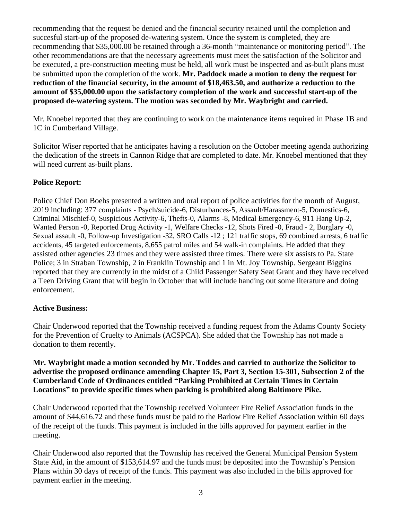recommending that the request be denied and the financial security retained until the completion and succesful start-up of the proposed de-watering system. Once the system is completed, they are recommending that \$35,000.00 be retained through a 36-month "maintenance or monitoring period". The other recommendations are that the necessary agreements must meet the satisfaction of the Solicitor and be executed, a pre-construction meeting must be held, all work must be inspected and as-built plans must be submitted upon the completion of the work. **Mr. Paddock made a motion to deny the request for reduction of the financial security, in the amount of \$18,463.50, and authorize a reduction to the amount of \$35,000.00 upon the satisfactory completion of the work and successful start-up of the proposed de-watering system. The motion was seconded by Mr. Waybright and carried.** 

Mr. Knoebel reported that they are continuing to work on the maintenance items required in Phase 1B and 1C in Cumberland Village.

Solicitor Wiser reported that he anticipates having a resolution on the October meeting agenda authorizing the dedication of the streets in Cannon Ridge that are completed to date. Mr. Knoebel mentioned that they will need current as-built plans.

# **Police Report:**

Police Chief Don Boehs presented a written and oral report of police activities for the month of August, 2019 including: 377 complaints - Psych/suicide-6, Disturbances-5, Assault/Harassment-5, Domestics-6, Criminal Mischief-0, Suspicious Activity-6, Thefts-0, Alarms -8, Medical Emergency-6, 911 Hang Up-2, Wanted Person -0, Reported Drug Activity -1, Welfare Checks -12, Shots Fired -0, Fraud - 2, Burglary -0, Sexual assault -0, Follow-up Investigation -32, SRO Calls -12 ; 121 traffic stops, 69 combined arrests, 6 traffic accidents, 45 targeted enforcements, 8,655 patrol miles and 54 walk-in complaints. He added that they assisted other agencies 23 times and they were assisted three times. There were six assists to Pa. State Police; 3 in Straban Township, 2 in Franklin Township and 1 in Mt. Joy Township. Sergeant Biggins reported that they are currently in the midst of a Child Passenger Safety Seat Grant and they have received a Teen Driving Grant that will begin in October that will include handing out some literature and doing enforcement.

## **Active Business:**

Chair Underwood reported that the Township received a funding request from the Adams County Society for the Prevention of Cruelty to Animals (ACSPCA). She added that the Township has not made a donation to them recently.

**Mr. Waybright made a motion seconded by Mr. Toddes and carried to authorize the Solicitor to advertise the proposed ordinance amending Chapter 15, Part 3, Section 15-301, Subsection 2 of the Cumberland Code of Ordinances entitled "Parking Prohibited at Certain Times in Certain Locations" to provide specific times when parking is prohibited along Baltimore Pike.** 

Chair Underwood reported that the Township received Volunteer Fire Relief Association funds in the amount of \$44,616.72 and these funds must be paid to the Barlow Fire Relief Association within 60 days of the receipt of the funds. This payment is included in the bills approved for payment earlier in the meeting.

Chair Underwood also reported that the Township has received the General Municipal Pension System State Aid, in the amount of \$153,614.97 and the funds must be deposited into the Township's Pension Plans within 30 days of receipt of the funds. This payment was also included in the bills approved for payment earlier in the meeting.